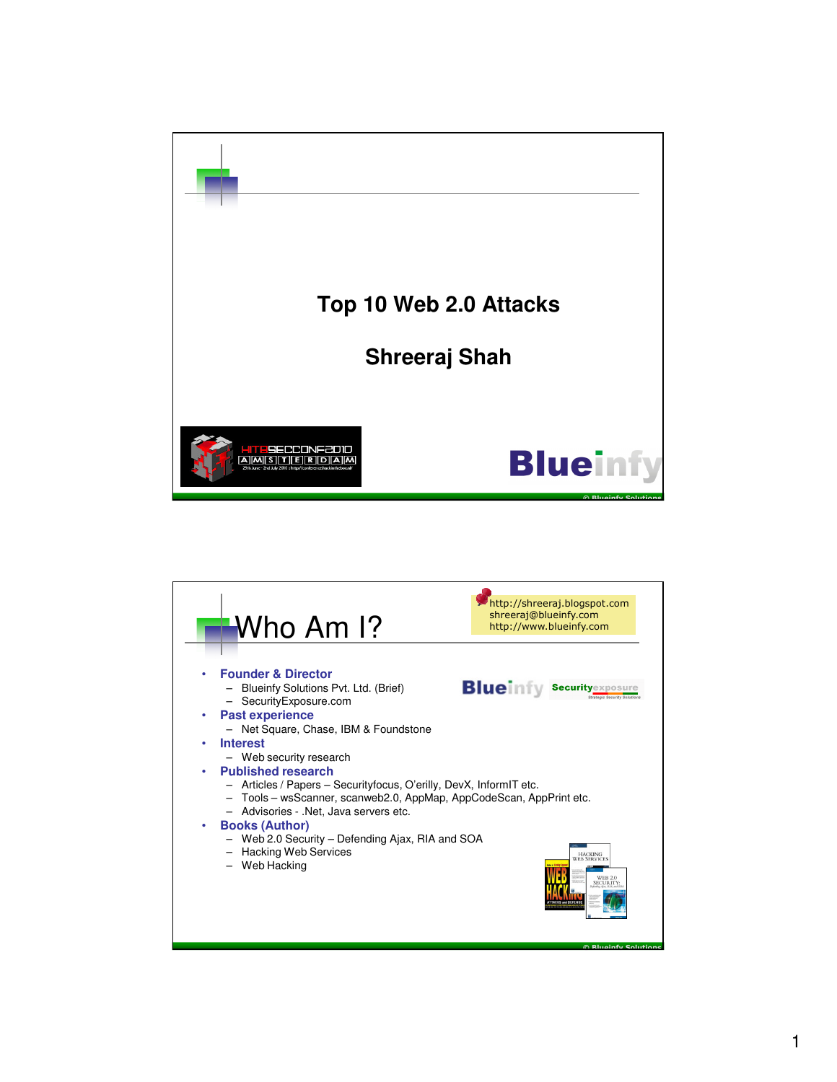

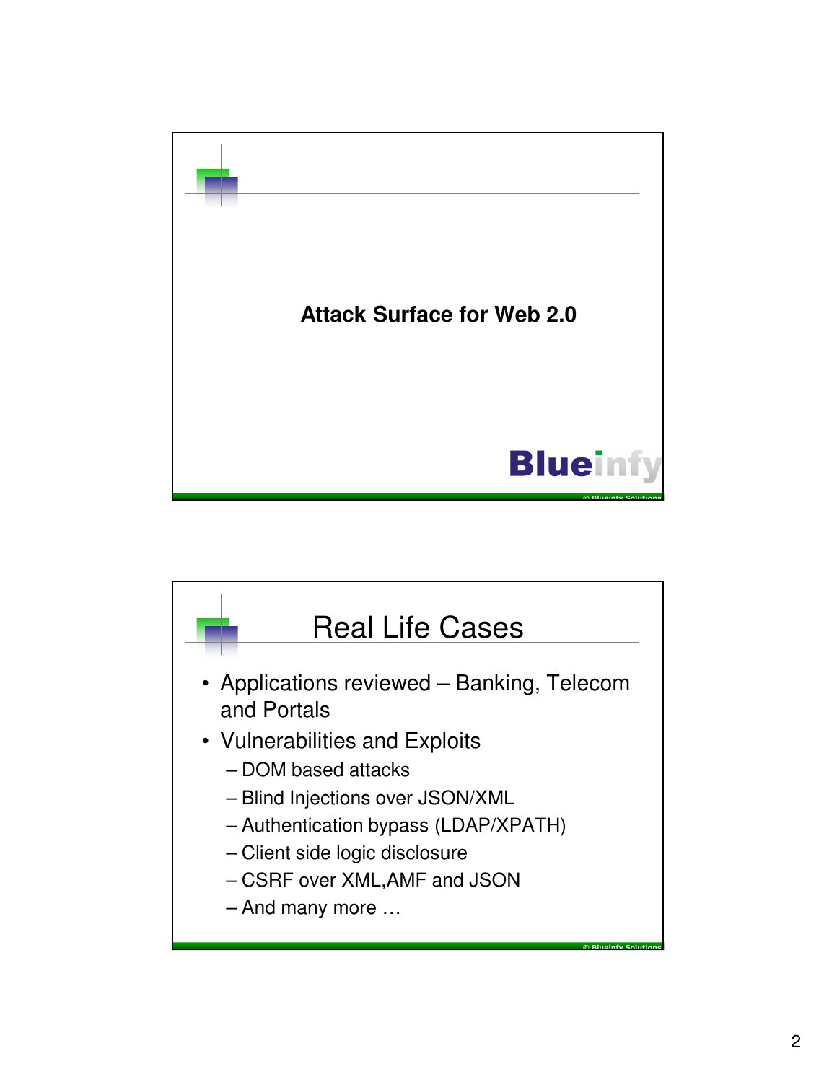

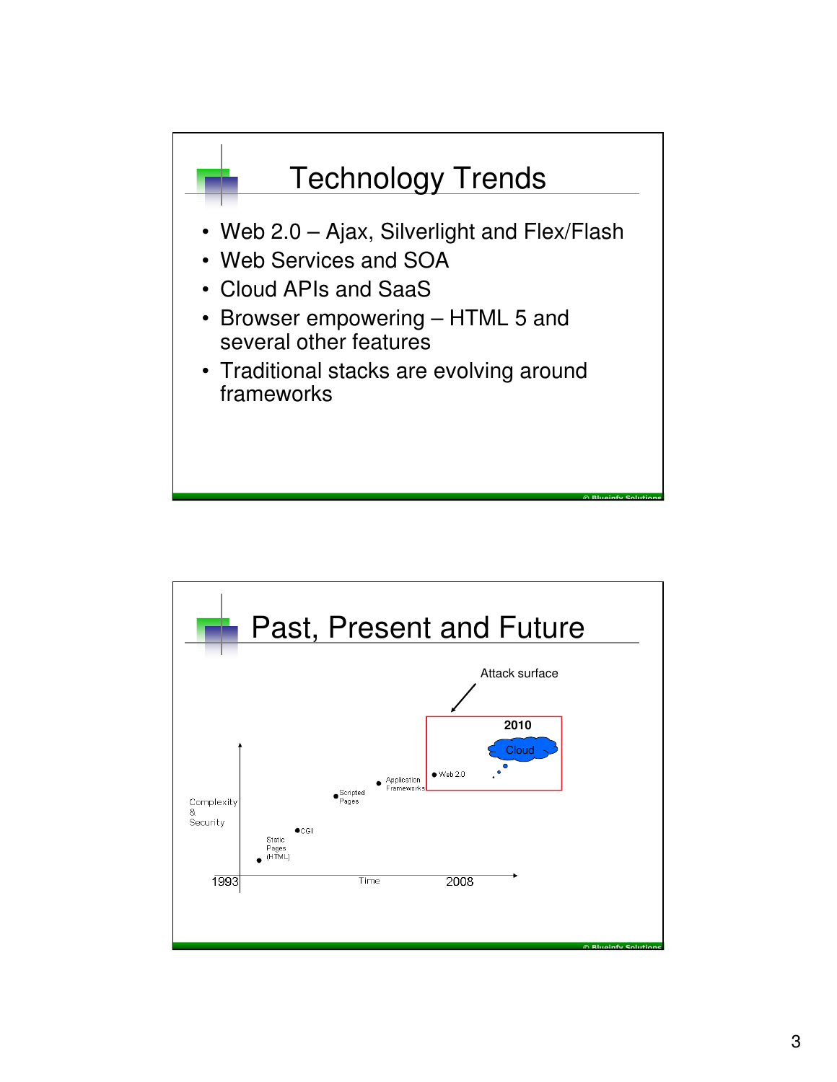

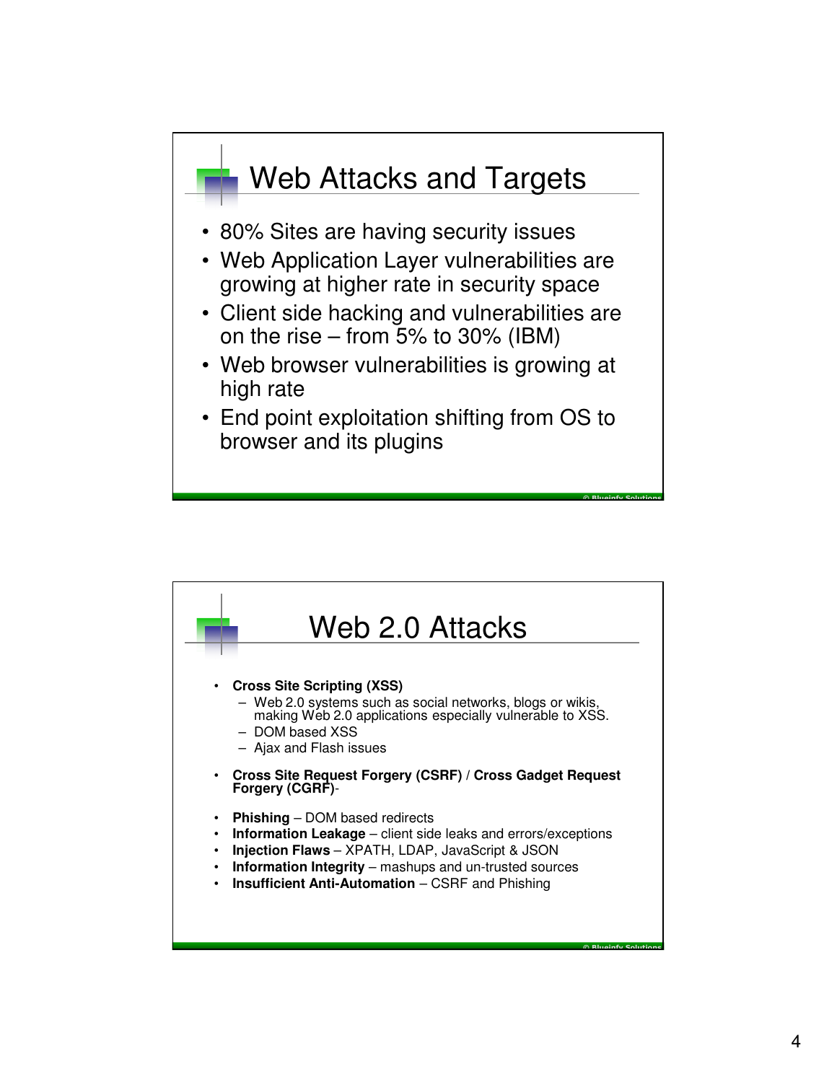

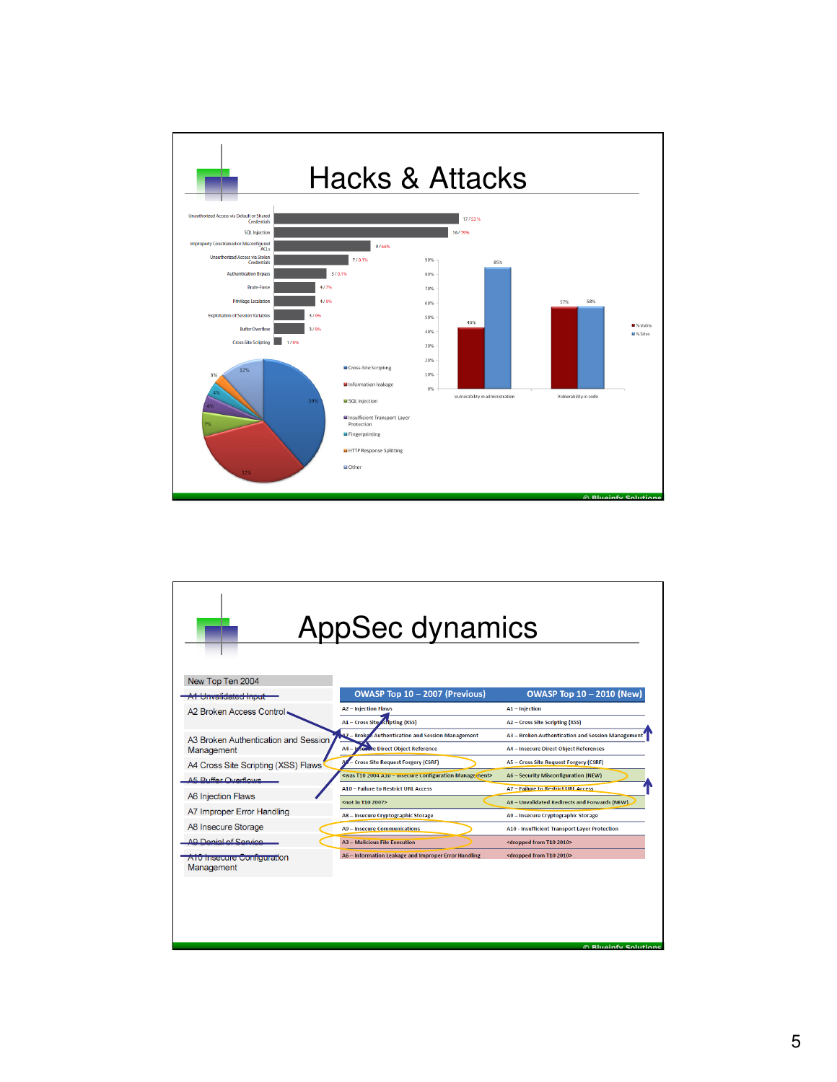

| New Top Ten 2004                         | <b>AppSec dynamics</b>                                                                |                                                      |
|------------------------------------------|---------------------------------------------------------------------------------------|------------------------------------------------------|
| A1 Unvalidated Input                     | OWASP Top 10 - 2007 (Previous)                                                        | <b>OWASP Top 10 - 2010 (New)</b>                     |
| A2 Broken Access Control.                | <b>A2 - Injection Flaws</b>                                                           | A1 - Injection                                       |
|                                          | A1 - Cross Site scripting (XSS)                                                       | A2 - Cross Site Scripting (XSS)                      |
| A3 Broken Authentication and Session     | <b>Authentication and Session Management</b><br>- Broke                               | A3 - Broken Authentication and Session Managemen     |
| Management                               | <b>Se The Direct Object Reference</b><br>$AA - I$                                     | <b>A4 - Insecure Direct Object References</b>        |
| A4 Cross Site Scripting (XSS) Flaws      | - Cross Site Request Forgery (CSRF)                                                   | A5 - Cross Site Request Forgery (CSRF)               |
| A5 Ruffer Overflows                      | <was -="" 2004="" a10="" configuration="" insecure="" manage="" ment="" t10=""></was> | A6 - Security Misconfiguration (NEW)                 |
| <b>A6 Injection Flaws</b>                | <b>A10 - Failure to Restrict URL Access</b>                                           | <b>A7 - Failure to Restrict URL Access</b>           |
| A7 Improper Error Handling               | <not 2007="" in="" t10=""></not>                                                      | A8 - Unvalidated Redirects and Forwards (NEW)        |
|                                          | A8 - Insecure Cryptographic Storage                                                   | A9 - Insecure Cryptographic Storage                  |
| A8 Insecure Storage                      | <b>A9 - Insecure Communications</b>                                                   | <b>A10 - Insufficient Transport Layer Protection</b> |
| AQ Denial of Senrice                     | <b>A3 - Malicious File Execution</b>                                                  | <dropped 2010="" from="" t10=""></dropped>           |
| A10 Insecure Configuration<br>Management | A6 - Information Leakage and Improper Error Handling                                  | <dropped 2010="" from="" t10=""></dropped>           |
|                                          |                                                                                       | <b>Rluginfy Solutions</b>                            |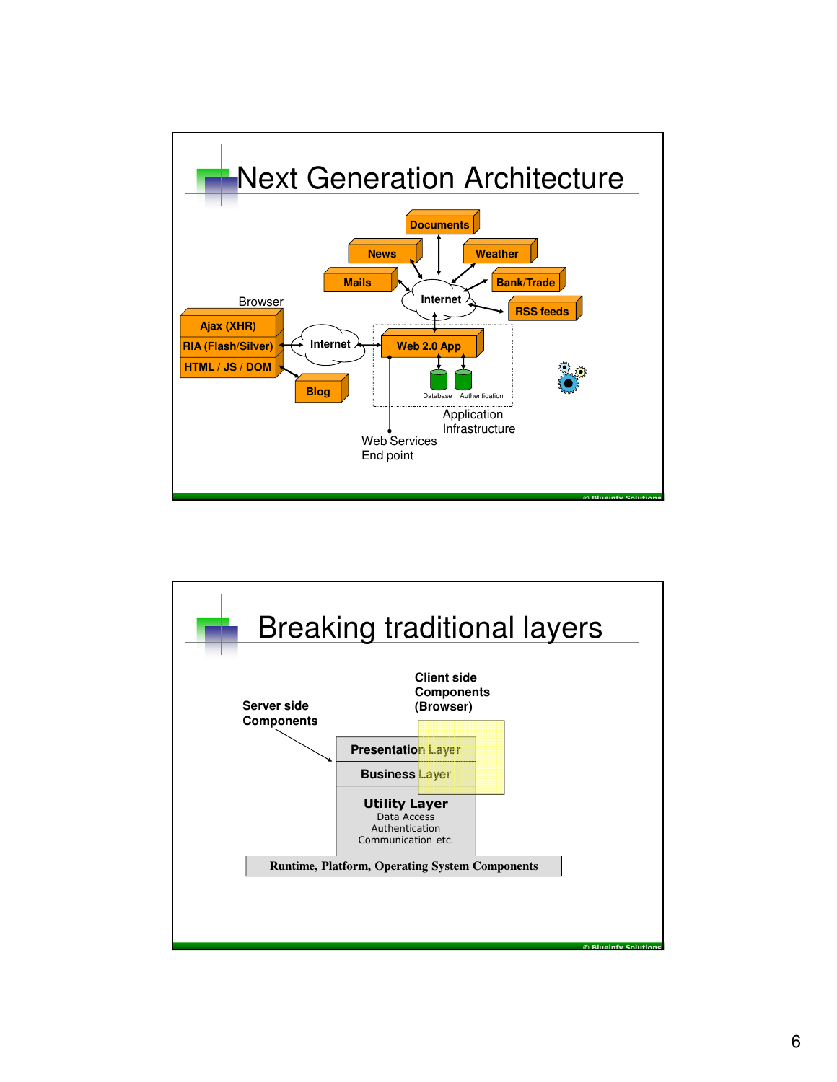

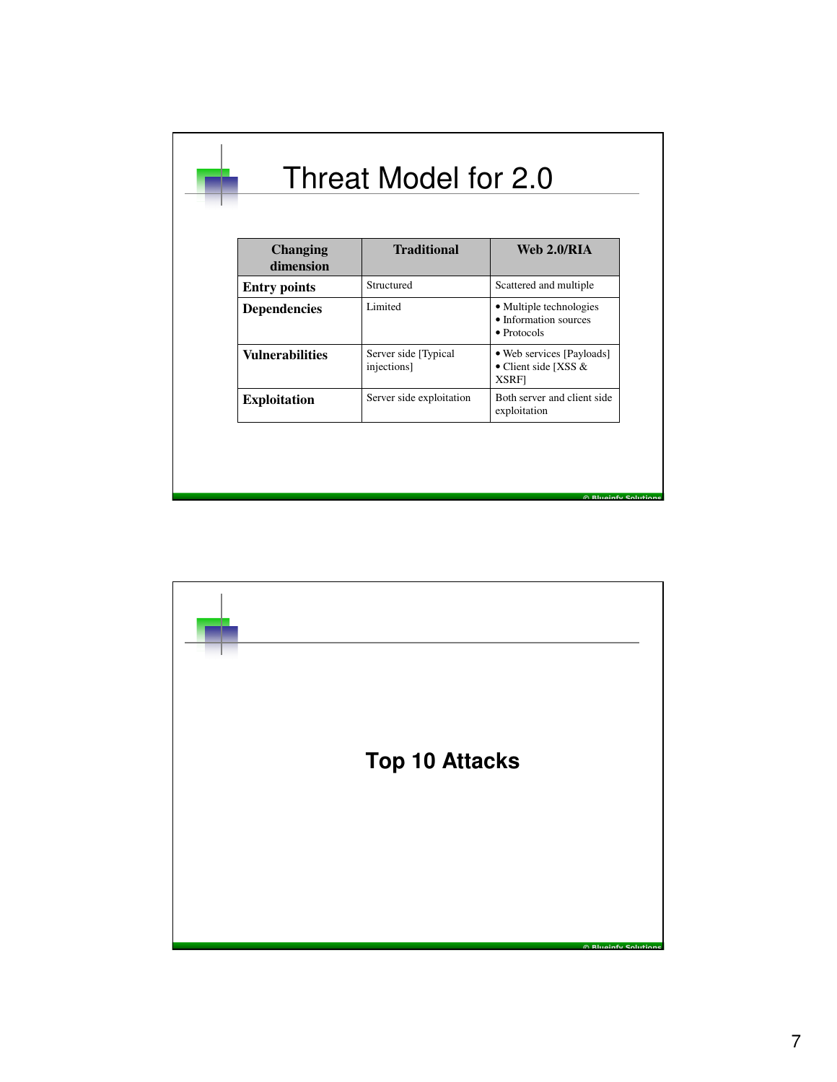| <b>Changing</b><br>dimension | <b>Traditional</b>                   | Web 2.0/RIA                                                             |
|------------------------------|--------------------------------------|-------------------------------------------------------------------------|
| <b>Entry points</b>          | Structured                           | Scattered and multiple                                                  |
| <b>Dependencies</b>          | Limited                              | • Multiple technologies<br>• Information sources<br>$\bullet$ Protocols |
| <b>Vulnerabilities</b>       | Server side [Typical]<br>injections] | • Web services [Payloads]<br>• Client side [XSS $&$<br><b>XSRF</b>      |
| <b>Exploitation</b>          | Server side exploitation             | Both server and client side<br>exploitation                             |

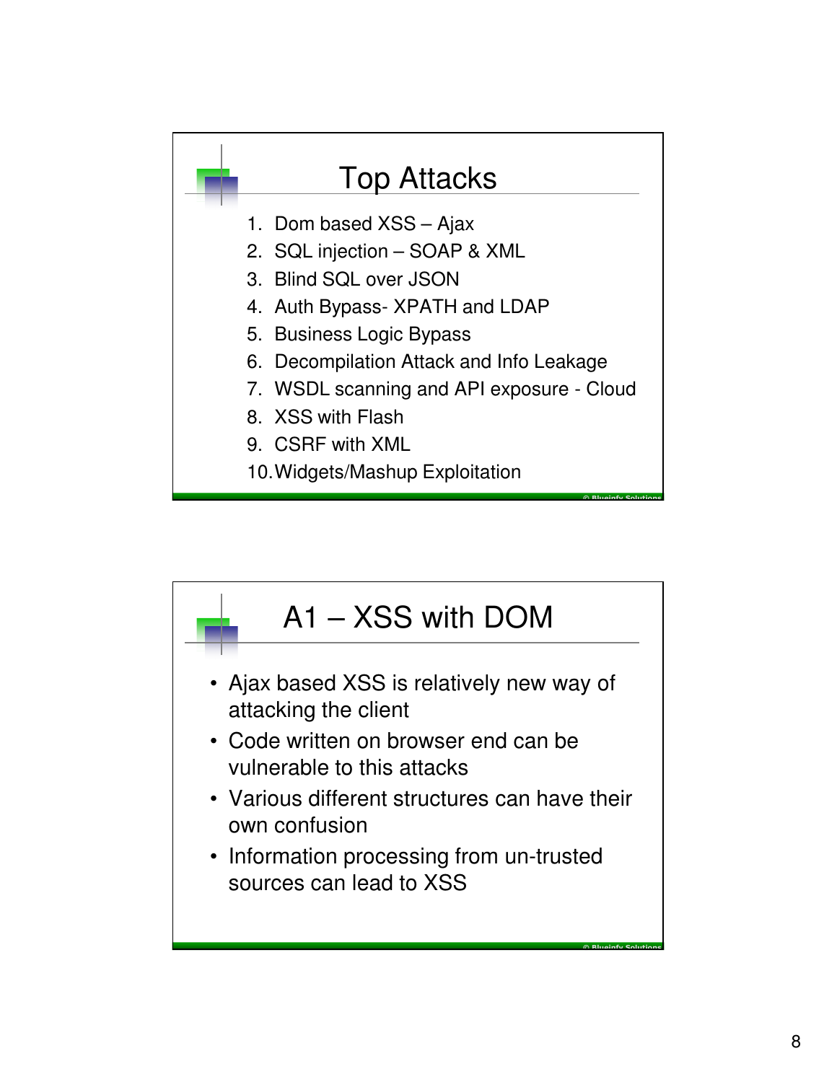

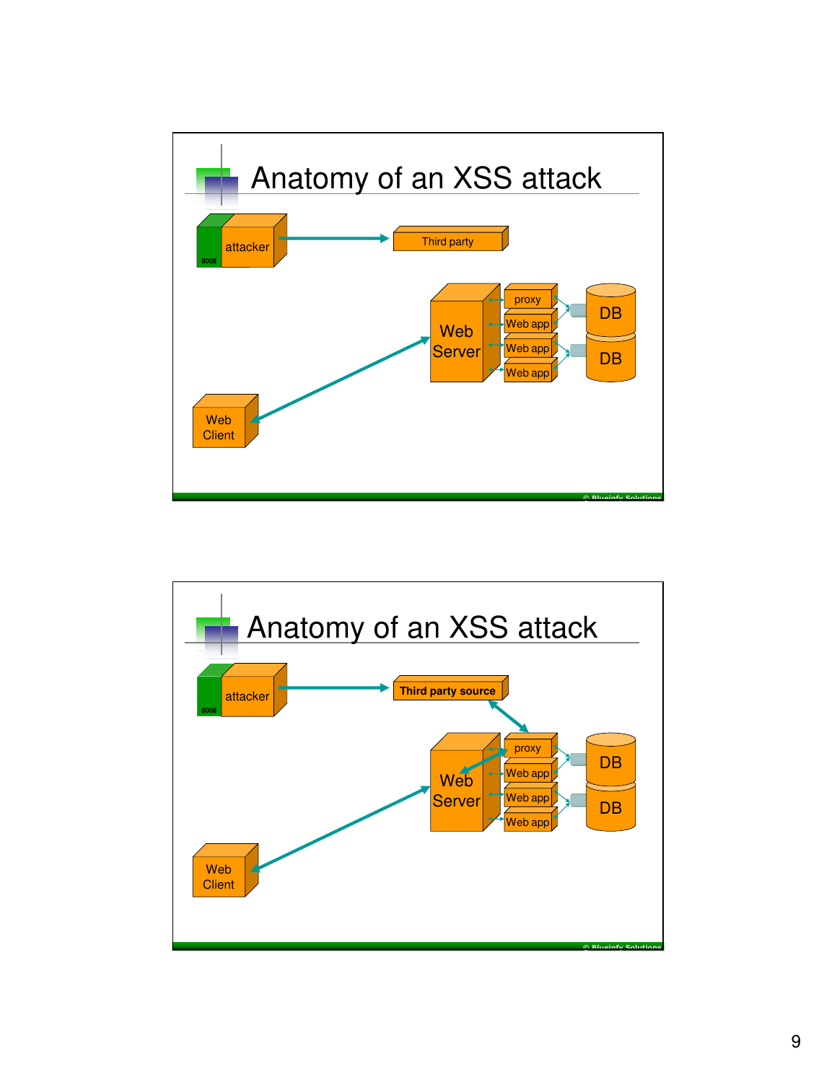

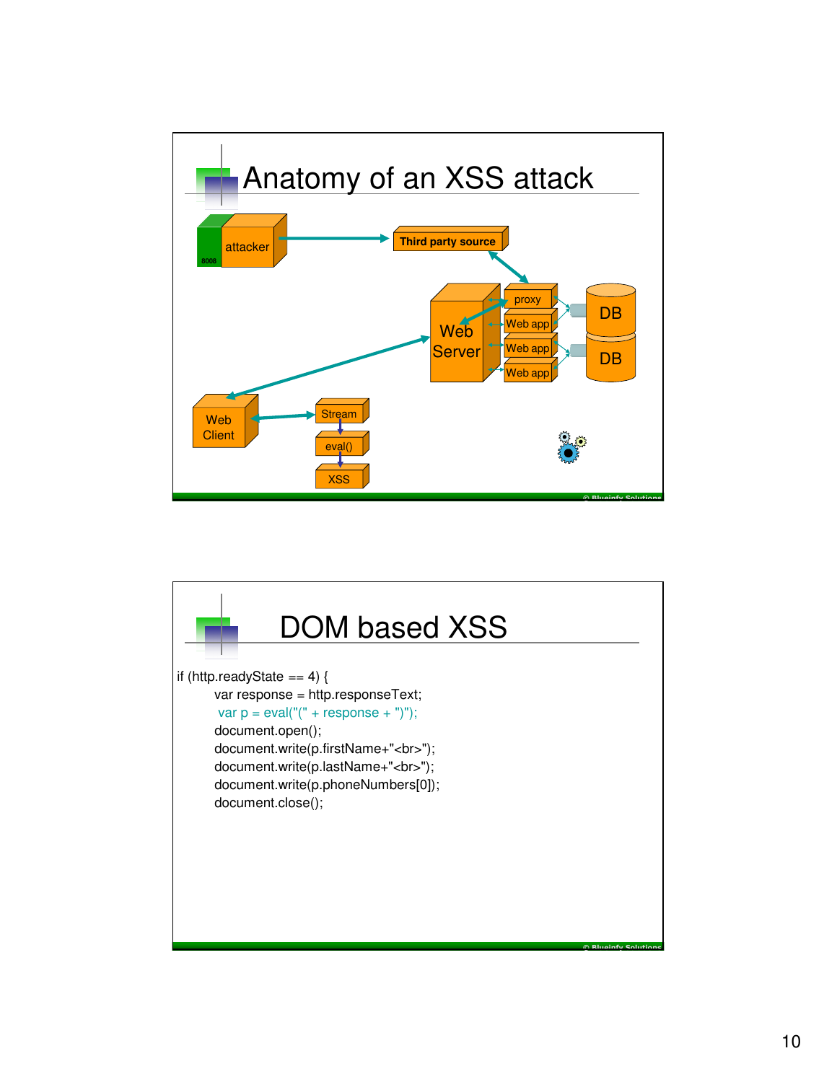

![](_page_9_Figure_1.jpeg)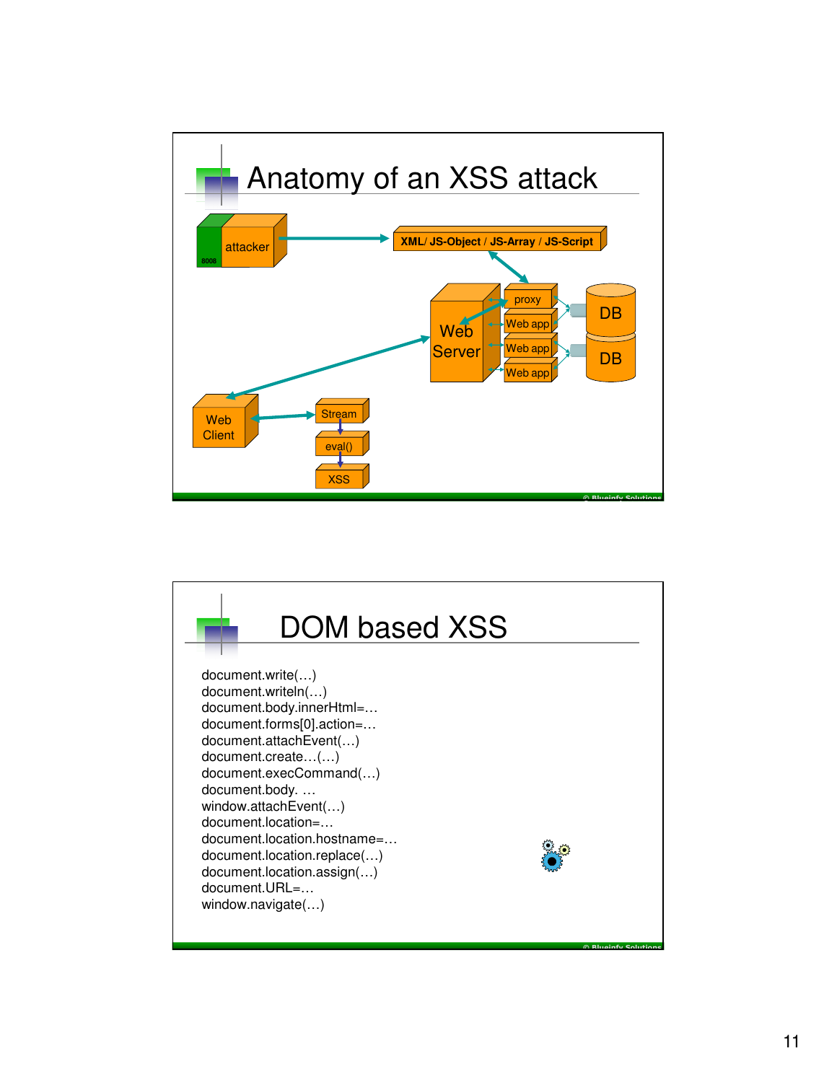![](_page_10_Figure_0.jpeg)

![](_page_10_Picture_1.jpeg)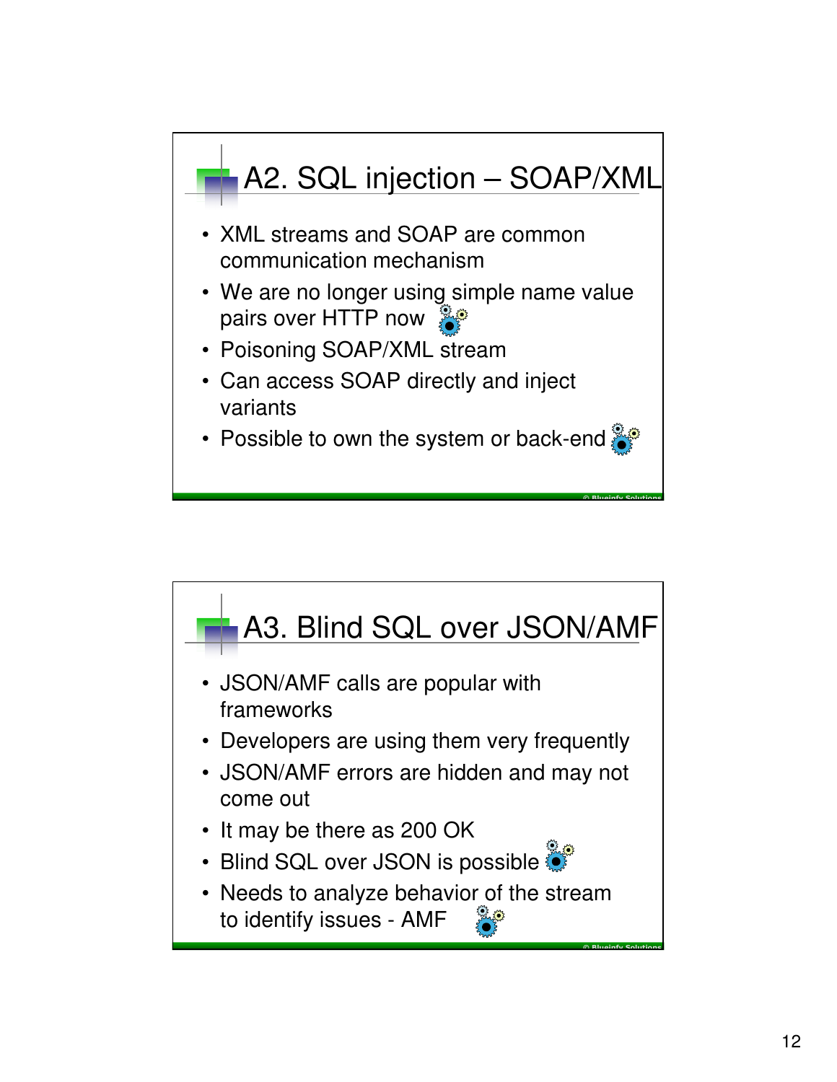![](_page_11_Figure_0.jpeg)

![](_page_11_Figure_1.jpeg)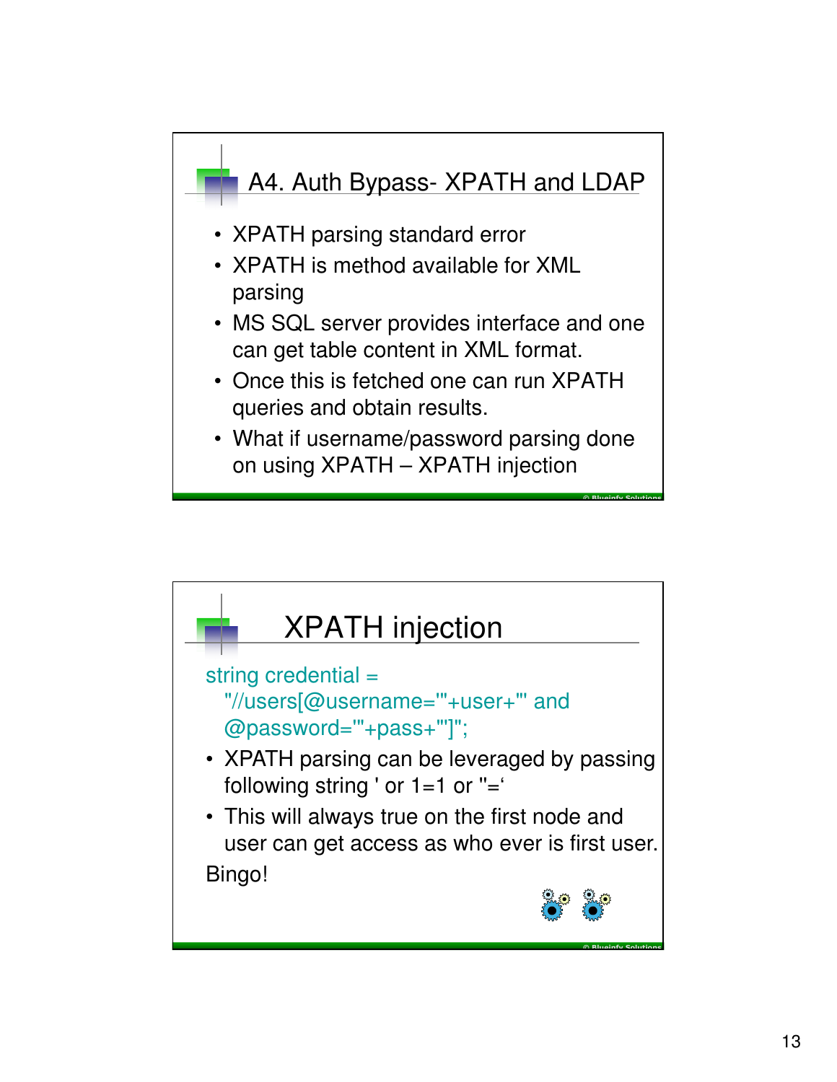![](_page_12_Figure_0.jpeg)

![](_page_12_Figure_1.jpeg)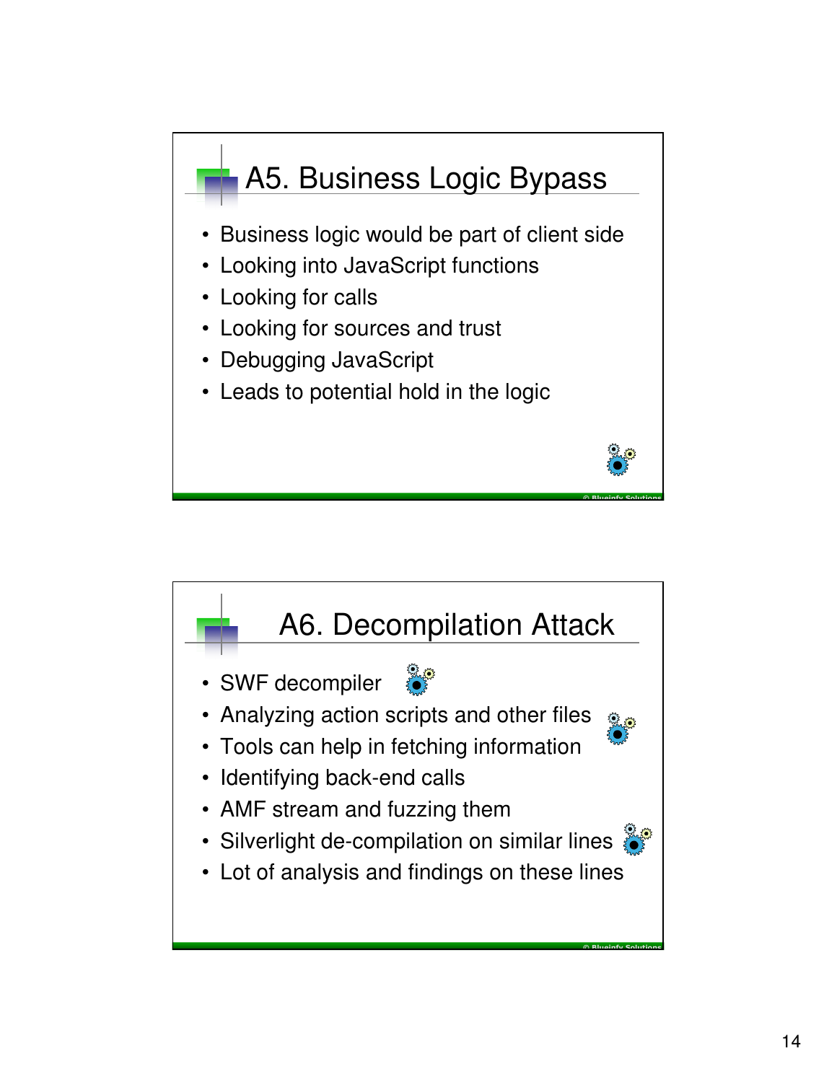![](_page_13_Figure_0.jpeg)

![](_page_13_Figure_1.jpeg)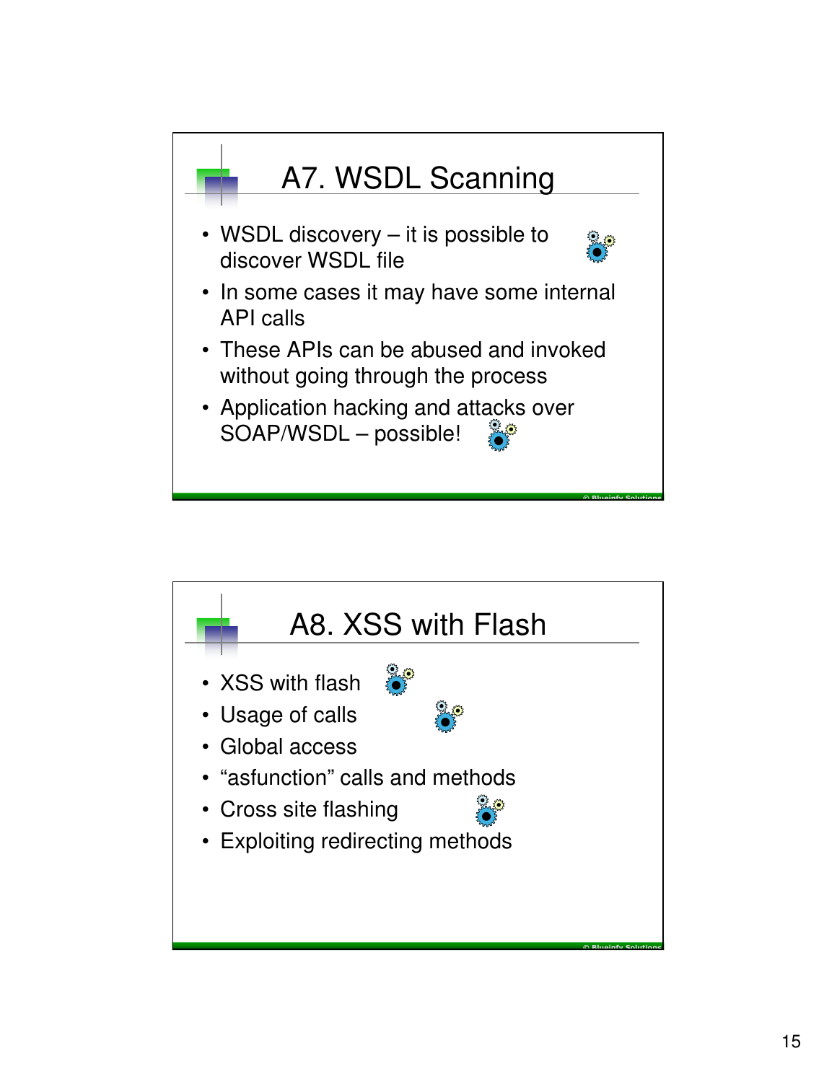![](_page_14_Figure_0.jpeg)

![](_page_14_Figure_1.jpeg)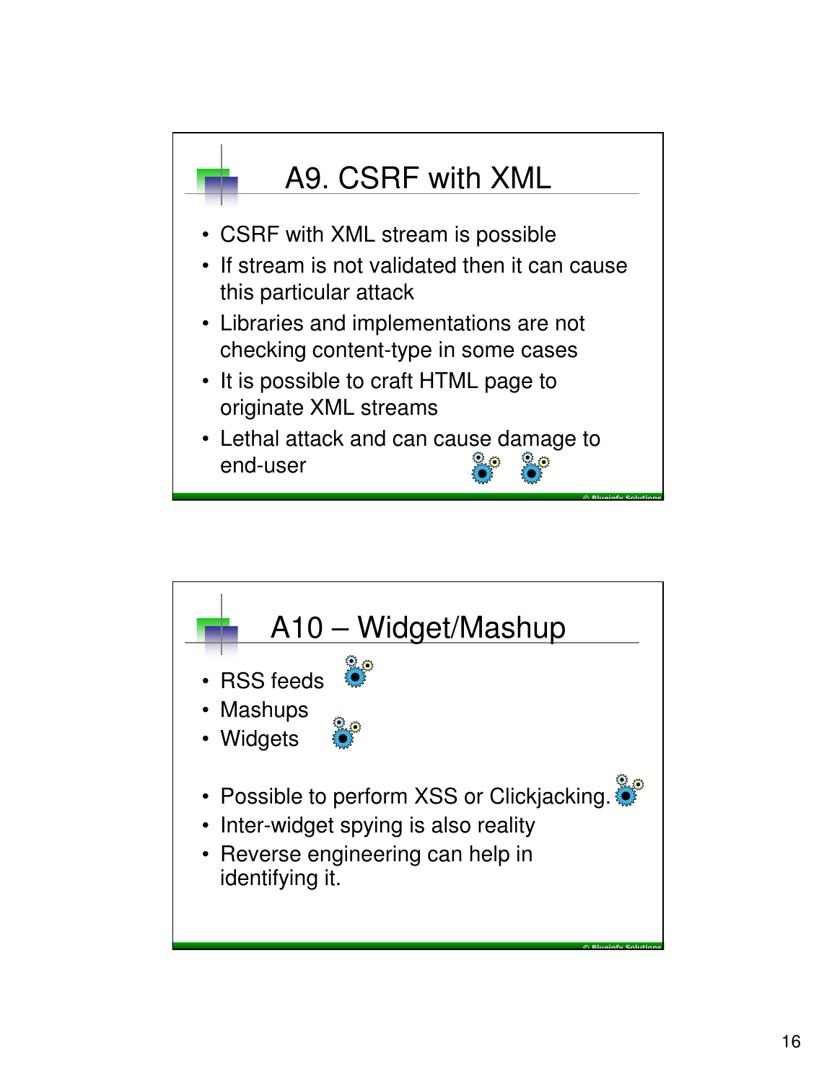![](_page_15_Figure_0.jpeg)

![](_page_15_Figure_1.jpeg)